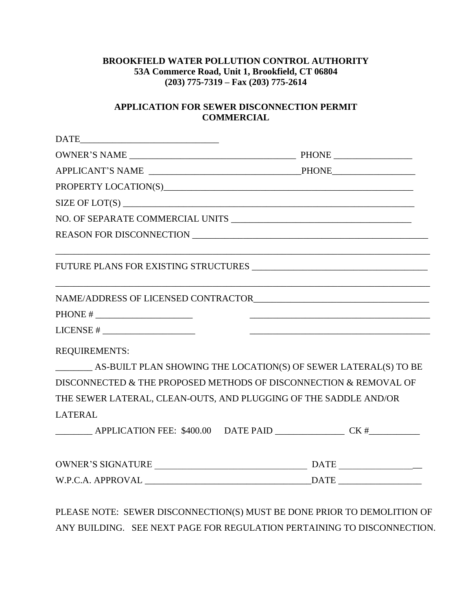## **BROOKFIELD WATER POLLUTION CONTROL AUTHORITY 53A Commerce Road, Unit 1, Brookfield, CT 06804 (203) 775-7319 – Fax (203) 775-2614**

## **APPLICATION FOR SEWER DISCONNECTION PERMIT COMMERCIAL**

| PHONE # $\_$                                                      |  |
|-------------------------------------------------------------------|--|
| $LICENSE # \_\_\_\_\_\_\_$                                        |  |
| <b>REQUIREMENTS:</b>                                              |  |
| AS-BUILT PLAN SHOWING THE LOCATION(S) OF SEWER LATERAL(S) TO BE   |  |
| DISCONNECTED & THE PROPOSED METHODS OF DISCONNECTION & REMOVAL OF |  |
| THE SEWER LATERAL, CLEAN-OUTS, AND PLUGGING OF THE SADDLE AND/OR  |  |
| <b>LATERAL</b>                                                    |  |
| APPLICATION FEE: \$400.00 DATE PAID CK #                          |  |
|                                                                   |  |
|                                                                   |  |

PLEASE NOTE: SEWER DISCONNECTION(S) MUST BE DONE PRIOR TO DEMOLITION OF ANY BUILDING. SEE NEXT PAGE FOR REGULATION PERTAINING TO DISCONNECTION.